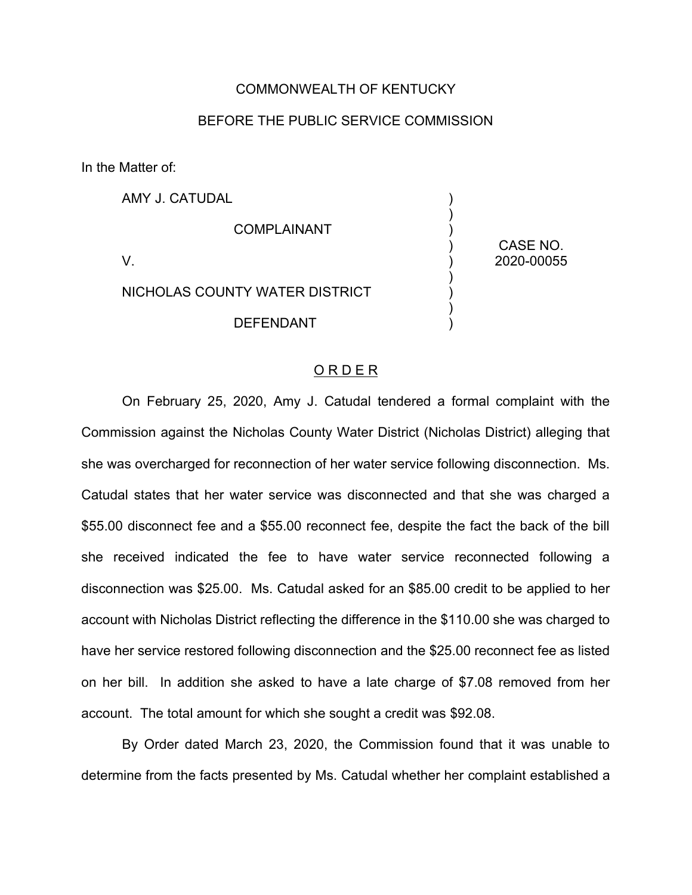### COMMONWEALTH OF KENTUCKY

### BEFORE THE PUBLIC SERVICE COMMISSION

In the Matter of:

AMY J. CATUDAL COMPLAINANT V. NICHOLAS COUNTY WATER DISTRICT DEFENDANT ) ) ) ) ) ) ) ) ) CASE NO. 2020-00055

#### O R D E R

On February 25, 2020, Amy J. Catudal tendered a formal complaint with the Commission against the Nicholas County Water District (Nicholas District) alleging that she was overcharged for reconnection of her water service following disconnection. Ms. Catudal states that her water service was disconnected and that she was charged a \$55.00 disconnect fee and a \$55.00 reconnect fee, despite the fact the back of the bill she received indicated the fee to have water service reconnected following a disconnection was \$25.00. Ms. Catudal asked for an \$85.00 credit to be applied to her account with Nicholas District reflecting the difference in the \$110.00 she was charged to have her service restored following disconnection and the \$25.00 reconnect fee as listed on her bill. In addition she asked to have a late charge of \$7.08 removed from her account. The total amount for which she sought a credit was \$92.08.

By Order dated March 23, 2020, the Commission found that it was unable to determine from the facts presented by Ms. Catudal whether her complaint established a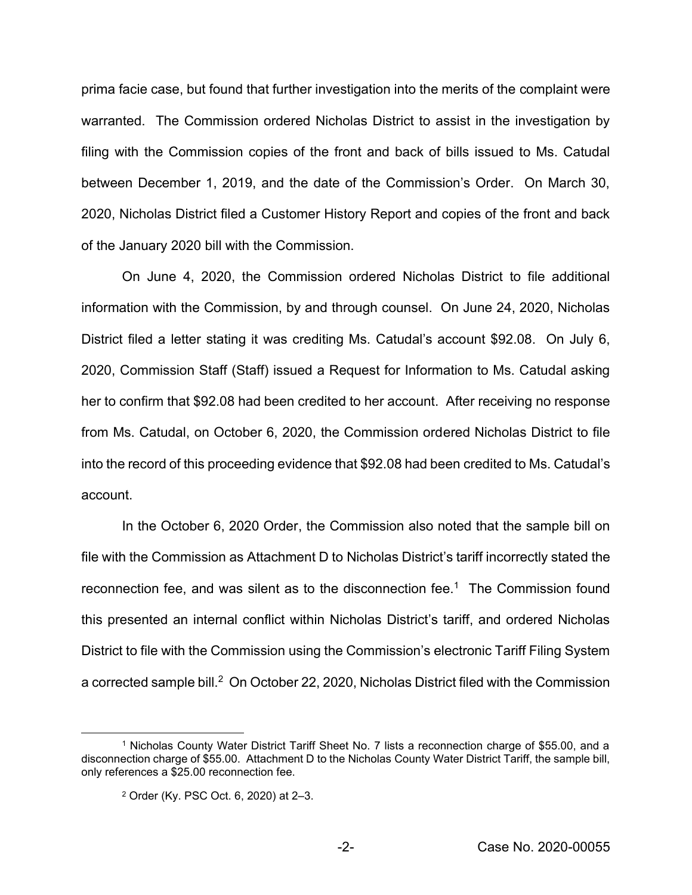prima facie case, but found that further investigation into the merits of the complaint were warranted. The Commission ordered Nicholas District to assist in the investigation by filing with the Commission copies of the front and back of bills issued to Ms. Catudal between December 1, 2019, and the date of the Commission's Order. On March 30, 2020, Nicholas District filed a Customer History Report and copies of the front and back of the January 2020 bill with the Commission.

On June 4, 2020, the Commission ordered Nicholas District to file additional information with the Commission, by and through counsel. On June 24, 2020, Nicholas District filed a letter stating it was crediting Ms. Catudal's account \$92.08. On July 6, 2020, Commission Staff (Staff) issued a Request for Information to Ms. Catudal asking her to confirm that \$92.08 had been credited to her account. After receiving no response from Ms. Catudal, on October 6, 2020, the Commission ordered Nicholas District to file into the record of this proceeding evidence that \$92.08 had been credited to Ms. Catudal's account.

In the October 6, 2020 Order, the Commission also noted that the sample bill on file with the Commission as Attachment D to Nicholas District's tariff incorrectly stated the reconnection fee, and was silent as to the disconnection fee.1 The Commission found this presented an internal conflict within Nicholas District's tariff, and ordered Nicholas District to file with the Commission using the Commission's electronic Tariff Filing System a corrected sample bill.<sup>2</sup> On October 22, 2020, Nicholas District filed with the Commission

<sup>1</sup> Nicholas County Water District Tariff Sheet No. 7 lists a reconnection charge of \$55.00, and a disconnection charge of \$55.00. Attachment D to the Nicholas County Water District Tariff, the sample bill, only references a \$25.00 reconnection fee.

<sup>2</sup> Order (Ky. PSC Oct. 6, 2020) at 2–3.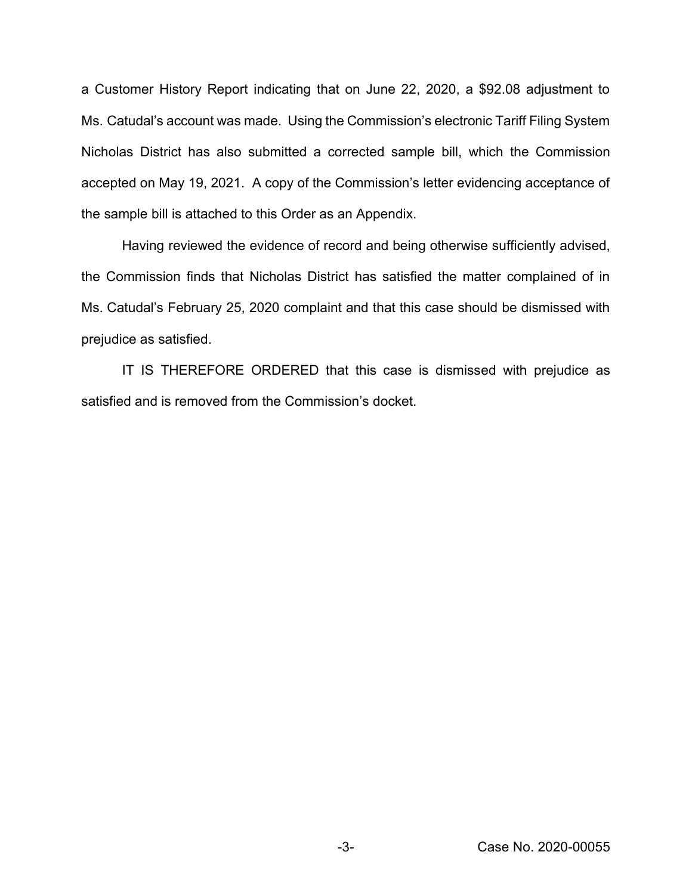a Customer History Report indicating that on June 22, 2020, a \$92.08 adjustment to Ms. Catudal's account was made. Using the Commission's electronic Tariff Filing System Nicholas District has also submitted a corrected sample bill, which the Commission accepted on May 19, 2021. A copy of the Commission's letter evidencing acceptance of the sample bill is attached to this Order as an Appendix.

Having reviewed the evidence of record and being otherwise sufficiently advised, the Commission finds that Nicholas District has satisfied the matter complained of in Ms. Catudal's February 25, 2020 complaint and that this case should be dismissed with prejudice as satisfied.

IT IS THEREFORE ORDERED that this case is dismissed with prejudice as satisfied and is removed from the Commission's docket.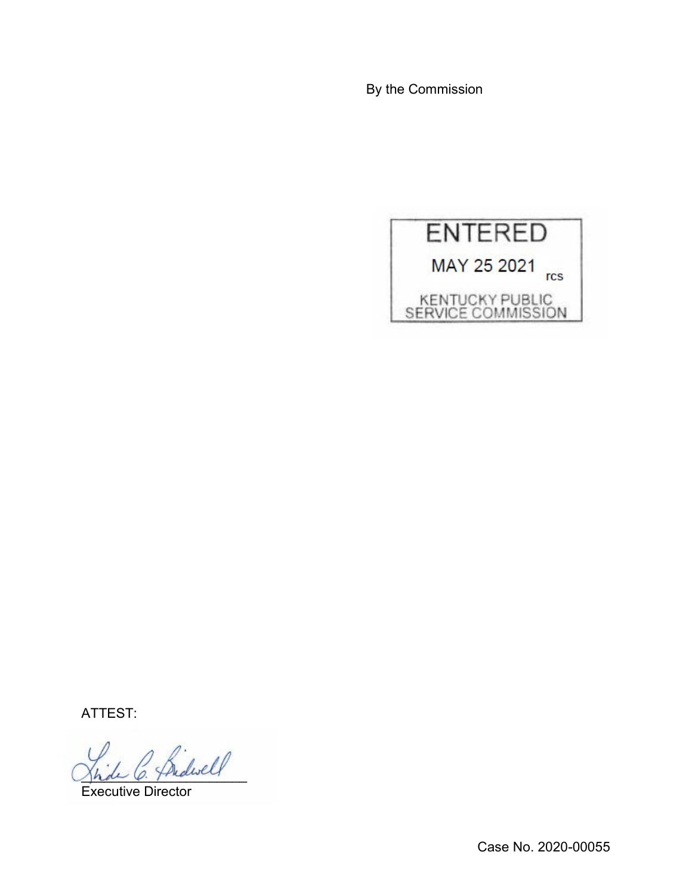By the Commission



ATTEST:

 $\Delta$ 

Executive Director

Case No. 2020-00055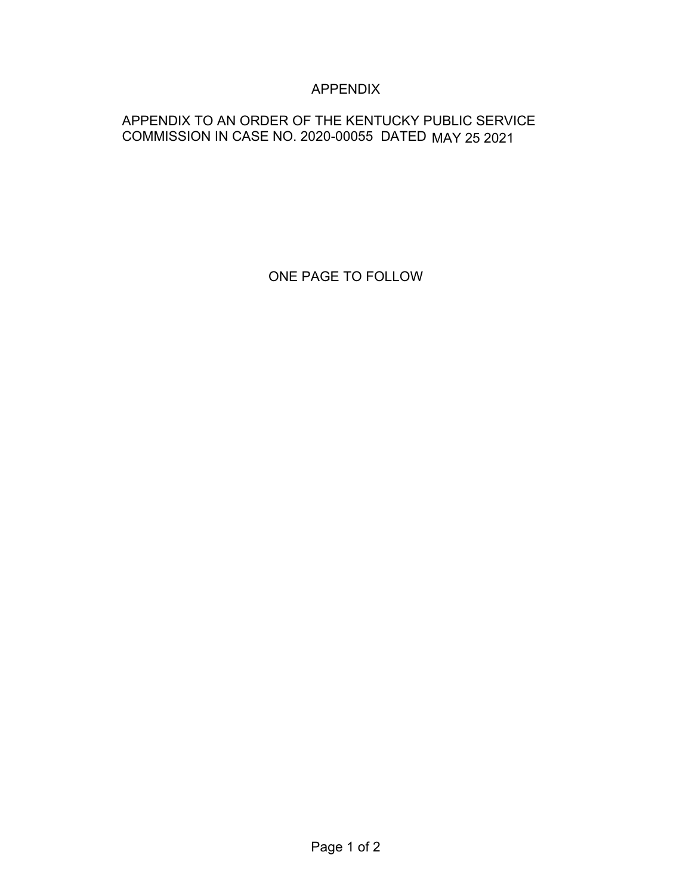# APPENDIX

## APPENDIX TO AN ORDER OF THE KENTUCKY PUBLIC SERVICE COMMISSION IN CASE NO. 2020-00055 DATED MAY 25 2021

ONE PAGE TO FOLLOW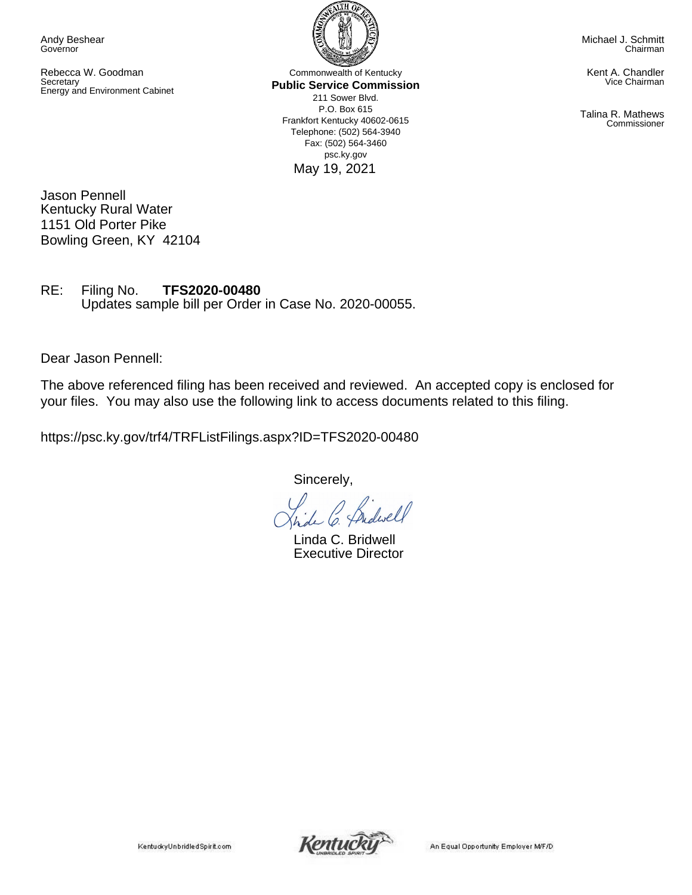Andy Beshear Governor

Rebecca W. Goodman **Secretary** Energy and Environment Cabinet

Commonwealth of Kentucky **Public Service Commission** 211 Sower Blvd. P.O. Box 615 Frankfort Kentucky 40602-0615 Telephone: (502) 564-3940 Fax: (502) 564-3460 psc.ky.gov May 19, 2021

Michael J. Schmitt Chairman

Kent A. Chandler Vice Chairman

Talina R. Mathews Commissioner

Jason Pennell Kentucky Rural Water 1151 Old Porter Pike Bowling Green, KY 42104

RE: Filing No. **TFS2020-00480** Updates sample bill per Order in Case No. 2020-00055.

Dear Jason Pennell:

The above referenced filing has been received and reviewed. An accepted copy is enclosed for your files. You may also use the following link to access documents related to this filing.

https://psc.ky.gov/trf4/TRFListFilings.aspx?ID=TFS2020-00480

Sincerely,

*lwell* 

Linda C. Bridwell Executive Director

KentuckyUnbridledSpirit.com



An Equal Opportunity Employer M/F/D